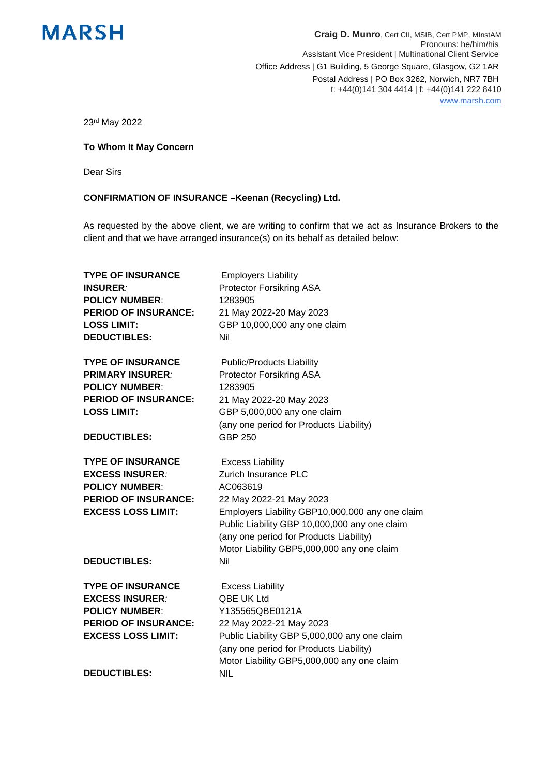

**Craig D. Munro**, Cert CII, MSIB, Cert PMP, MInstAM Pronouns: he/him/his Assistant Vice President | Multinational Client Service Office Address | G1 Building, 5 George Square, Glasgow, G2 1AR Postal Address | PO Box 3262, Norwich, NR7 7BH t: +44(0)141 304 4414 | f: +44(0)141 222 8410 www.marsh.com

23rd May 2022

## **To Whom It May Concern**

Dear Sirs

## **CONFIRMATION OF INSURANCE –Keenan (Recycling) Ltd.**

As requested by the above client, we are writing to confirm that we act as Insurance Brokers to the client and that we have arranged insurance(s) on its behalf as detailed below:

| <b>TYPE OF INSURANCE</b>    | <b>Employers Liability</b>                                                                                                                                                                |
|-----------------------------|-------------------------------------------------------------------------------------------------------------------------------------------------------------------------------------------|
| <b>INSURER:</b>             | <b>Protector Forsikring ASA</b>                                                                                                                                                           |
| <b>POLICY NUMBER:</b>       | 1283905                                                                                                                                                                                   |
| <b>PERIOD OF INSURANCE:</b> | 21 May 2022-20 May 2023                                                                                                                                                                   |
| <b>LOSS LIMIT:</b>          | GBP 10,000,000 any one claim                                                                                                                                                              |
| <b>DEDUCTIBLES:</b>         | Nil                                                                                                                                                                                       |
| <b>TYPE OF INSURANCE</b>    | <b>Public/Products Liability</b>                                                                                                                                                          |
| <b>PRIMARY INSURER:</b>     | <b>Protector Forsikring ASA</b>                                                                                                                                                           |
| <b>POLICY NUMBER:</b>       | 1283905                                                                                                                                                                                   |
| <b>PERIOD OF INSURANCE:</b> | 21 May 2022-20 May 2023                                                                                                                                                                   |
| <b>LOSS LIMIT:</b>          | GBP 5,000,000 any one claim                                                                                                                                                               |
|                             | (any one period for Products Liability)                                                                                                                                                   |
| <b>DEDUCTIBLES:</b>         | <b>GBP 250</b>                                                                                                                                                                            |
| <b>TYPE OF INSURANCE</b>    | <b>Excess Liability</b>                                                                                                                                                                   |
| <b>EXCESS INSURER:</b>      | Zurich Insurance PLC                                                                                                                                                                      |
| <b>POLICY NUMBER:</b>       | AC063619                                                                                                                                                                                  |
| <b>PERIOD OF INSURANCE:</b> | 22 May 2022-21 May 2023                                                                                                                                                                   |
| <b>EXCESS LOSS LIMIT:</b>   | Employers Liability GBP10,000,000 any one claim<br>Public Liability GBP 10,000,000 any one claim<br>(any one period for Products Liability)<br>Motor Liability GBP5,000,000 any one claim |
| <b>DEDUCTIBLES:</b>         | Nil                                                                                                                                                                                       |
| <b>TYPE OF INSURANCE</b>    | <b>Excess Liability</b>                                                                                                                                                                   |
| <b>EXCESS INSURER:</b>      | QBE UK Ltd                                                                                                                                                                                |
| <b>POLICY NUMBER:</b>       | Y135565QBE0121A                                                                                                                                                                           |
| <b>PERIOD OF INSURANCE:</b> | 22 May 2022-21 May 2023                                                                                                                                                                   |
| <b>EXCESS LOSS LIMIT:</b>   | Public Liability GBP 5,000,000 any one claim                                                                                                                                              |
|                             | (any one period for Products Liability)                                                                                                                                                   |
|                             | Motor Liability GBP5,000,000 any one claim                                                                                                                                                |
| <b>DEDUCTIBLES:</b>         | <b>NIL</b>                                                                                                                                                                                |